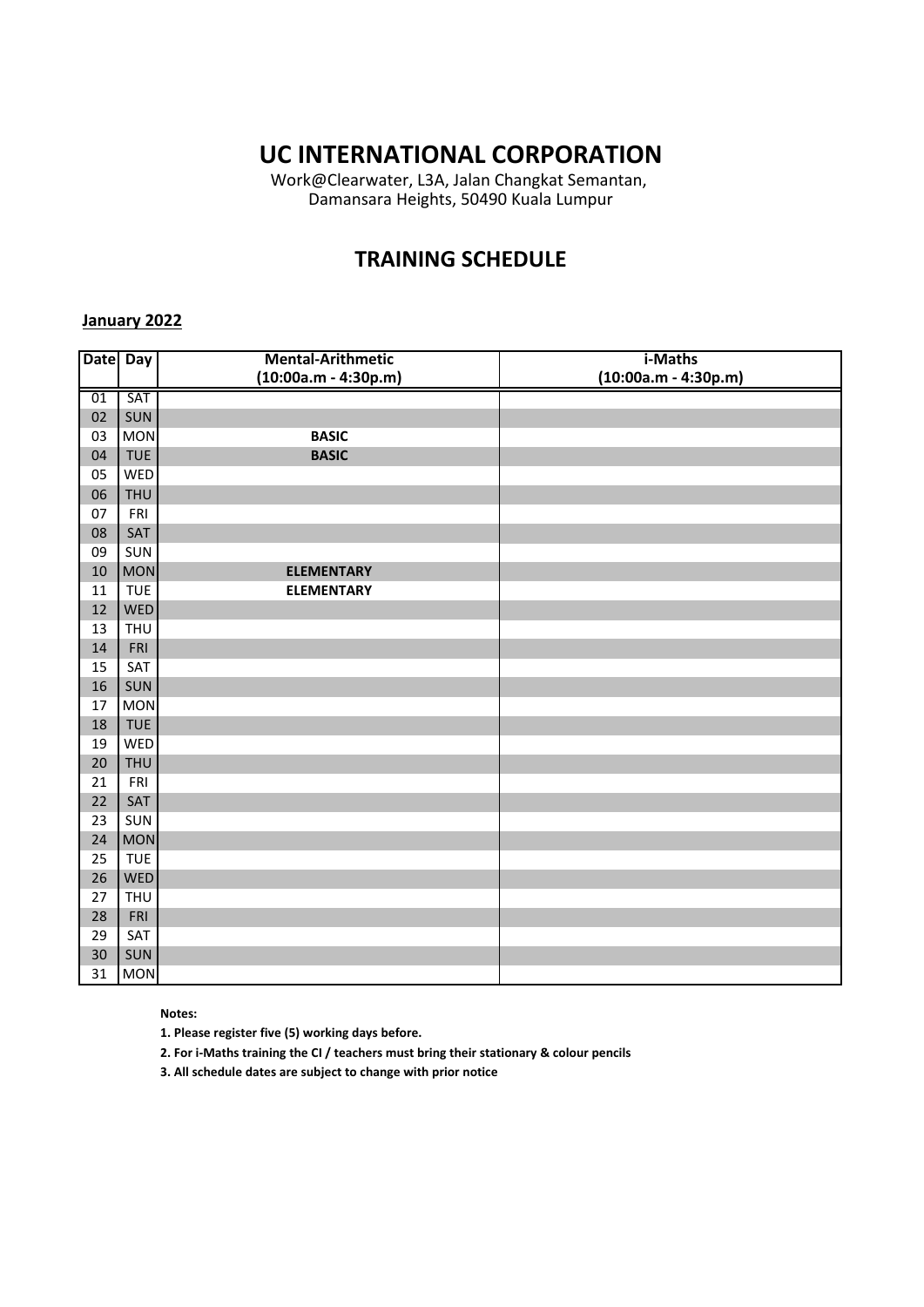Work@Clearwater, L3A, Jalan Changkat Semantan, Damansara Heights, 50490 Kuala Lumpur

### **TRAINING SCHEDULE**

#### **January 2022**

|    | Date Day   | <b>Mental-Arithmetic</b> | i-Maths                |
|----|------------|--------------------------|------------------------|
|    |            | $(10:00a.m - 4:30p.m)$   | $(10:00a.m - 4:30p.m)$ |
| 01 | SAT        |                          |                        |
| 02 | SUN        |                          |                        |
| 03 | <b>MON</b> | <b>BASIC</b>             |                        |
| 04 | <b>TUE</b> | <b>BASIC</b>             |                        |
| 05 | WED        |                          |                        |
| 06 | <b>THU</b> |                          |                        |
| 07 | FRI        |                          |                        |
| 08 | SAT        |                          |                        |
| 09 | SUN        |                          |                        |
| 10 | <b>MON</b> | <b>ELEMENTARY</b>        |                        |
| 11 | <b>TUE</b> | <b>ELEMENTARY</b>        |                        |
| 12 | <b>WED</b> |                          |                        |
| 13 | <b>THU</b> |                          |                        |
| 14 | FRI        |                          |                        |
| 15 | SAT        |                          |                        |
| 16 | SUN        |                          |                        |
| 17 | <b>MON</b> |                          |                        |
| 18 | <b>TUE</b> |                          |                        |
| 19 | WED        |                          |                        |
| 20 | <b>THU</b> |                          |                        |
| 21 | FRI        |                          |                        |
| 22 | SAT        |                          |                        |
| 23 | SUN        |                          |                        |
| 24 | <b>MON</b> |                          |                        |
| 25 | <b>TUE</b> |                          |                        |
| 26 | <b>WED</b> |                          |                        |
| 27 | <b>THU</b> |                          |                        |
| 28 | FRI        |                          |                        |
| 29 | SAT        |                          |                        |
| 30 | SUN        |                          |                        |
| 31 | <b>MON</b> |                          |                        |

**Notes:** 

**1. Please register five (5) working days before.** 

**2. For i-Maths training the CI / teachers must bring their stationary & colour pencils**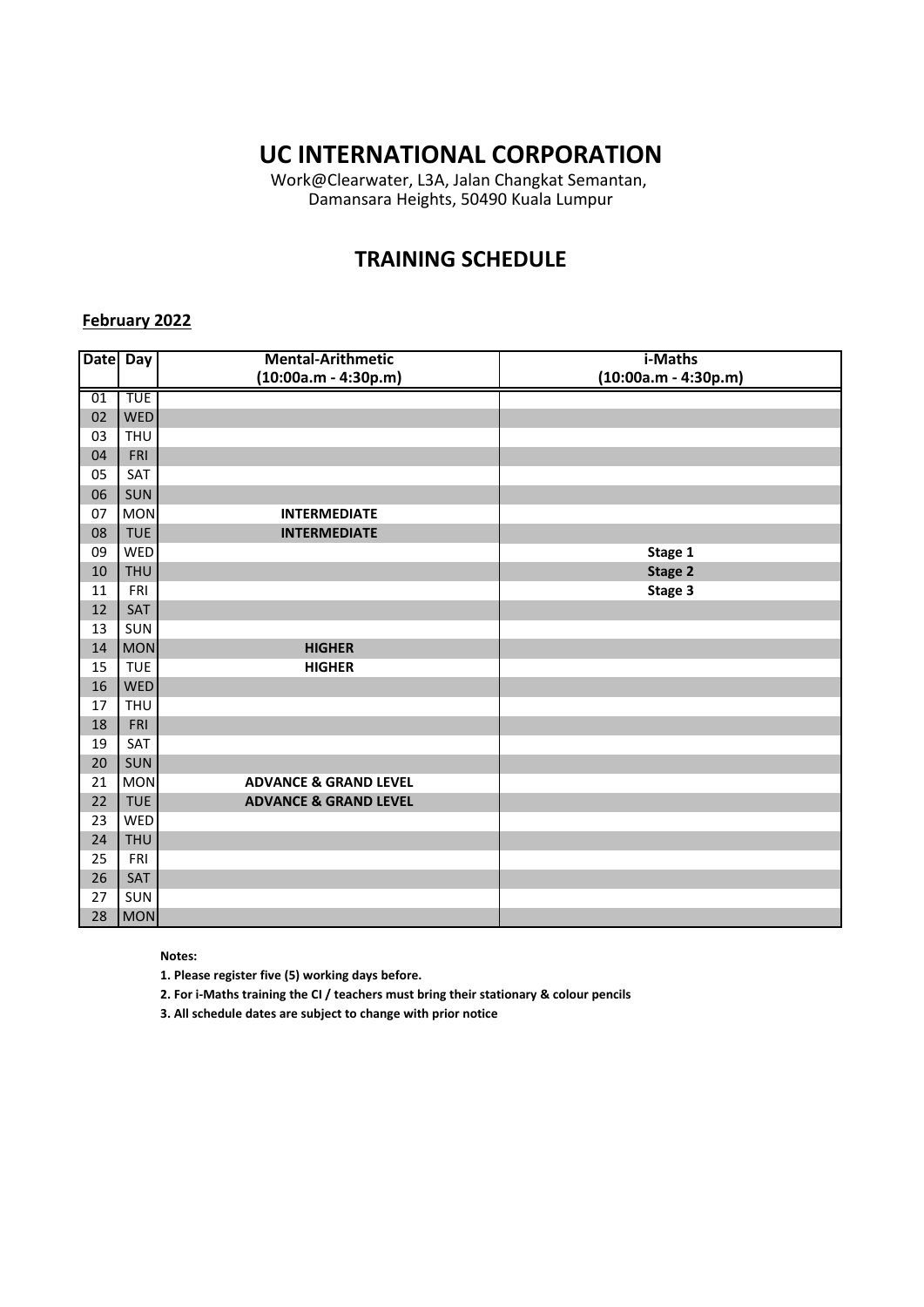Work@Clearwater, L3A, Jalan Changkat Semantan, Damansara Heights, 50490 Kuala Lumpur

### **TRAINING SCHEDULE**

### **February 2022**

| <b>Date</b> | $\overline{Day}$ | <b>Mental-Arithmetic</b>         | i-Maths                |
|-------------|------------------|----------------------------------|------------------------|
|             |                  | $(10:00a.m - 4:30p.m)$           | $(10:00a.m - 4:30p.m)$ |
| 01          | <b>TUE</b>       |                                  |                        |
| 02          | <b>WED</b>       |                                  |                        |
| 03          | <b>THU</b>       |                                  |                        |
| 04          | FRI              |                                  |                        |
| 05          | SAT              |                                  |                        |
| 06          | SUN              |                                  |                        |
| 07          | <b>MON</b>       | <b>INTERMEDIATE</b>              |                        |
| 08          | <b>TUE</b>       | <b>INTERMEDIATE</b>              |                        |
| 09          | <b>WED</b>       |                                  | Stage 1                |
| 10          | <b>THU</b>       |                                  | Stage 2                |
| 11          | <b>FRI</b>       |                                  | Stage 3                |
| 12          | SAT              |                                  |                        |
| 13          | SUN              |                                  |                        |
| 14          | <b>MON</b>       | <b>HIGHER</b>                    |                        |
| 15          | <b>TUE</b>       | <b>HIGHER</b>                    |                        |
| 16          | <b>WED</b>       |                                  |                        |
| 17          | <b>THU</b>       |                                  |                        |
| 18          | FRI              |                                  |                        |
| 19          | SAT              |                                  |                        |
| 20          | SUN              |                                  |                        |
| 21          | <b>MON</b>       | <b>ADVANCE &amp; GRAND LEVEL</b> |                        |
| 22          | <b>TUE</b>       | <b>ADVANCE &amp; GRAND LEVEL</b> |                        |
| 23          | WED              |                                  |                        |
| 24          | <b>THU</b>       |                                  |                        |
| 25          | FRI              |                                  |                        |
| 26          | SAT              |                                  |                        |
| 27          | SUN              |                                  |                        |
| 28          | <b>MON</b>       |                                  |                        |

**Notes:** 

**1. Please register five (5) working days before.** 

**2. For i-Maths training the CI / teachers must bring their stationary & colour pencils**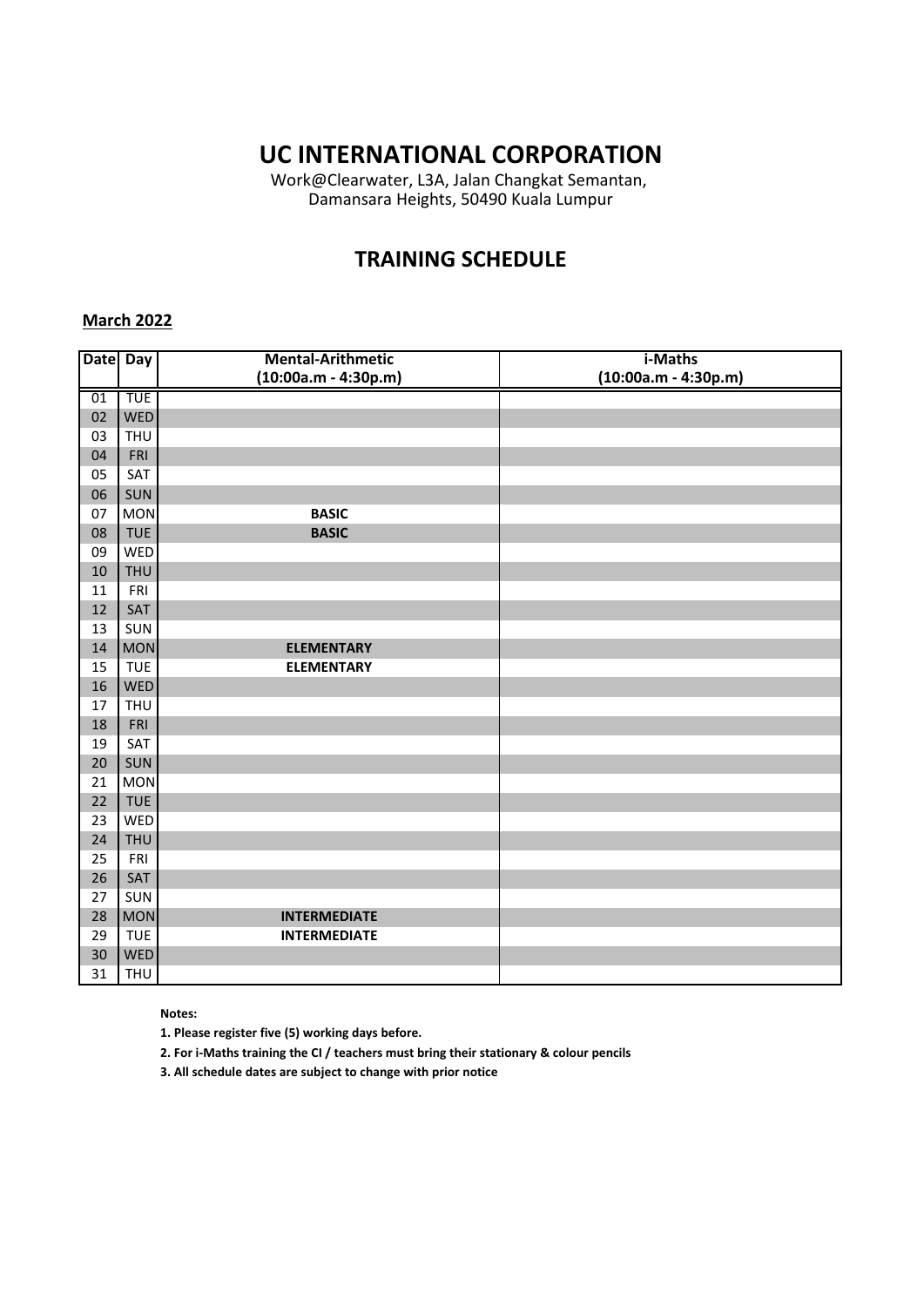Work@Clearwater, L3A, Jalan Changkat Semantan, Damansara Heights, 50490 Kuala Lumpur

### **TRAINING SCHEDULE**

#### **March 2022**

| Date Day |            | <b>Mental-Arithmetic</b><br>$(10:00a.m - 4:30p.m)$ | i-Maths<br>$(10:00a.m - 4:30p.m)$ |
|----------|------------|----------------------------------------------------|-----------------------------------|
|          | <b>TUE</b> |                                                    |                                   |
| 01       |            |                                                    |                                   |
| 02       | <b>WED</b> |                                                    |                                   |
| 03       | <b>THU</b> |                                                    |                                   |
| 04       | FRI        |                                                    |                                   |
| 05       | SAT        |                                                    |                                   |
| 06       | SUN        |                                                    |                                   |
| 07       | <b>MON</b> | <b>BASIC</b>                                       |                                   |
| 08       | <b>TUE</b> | <b>BASIC</b>                                       |                                   |
| 09       | WED        |                                                    |                                   |
| 10       | <b>THU</b> |                                                    |                                   |
| 11       | FRI        |                                                    |                                   |
| 12       | SAT        |                                                    |                                   |
| 13       | SUN        |                                                    |                                   |
| 14       | <b>MON</b> | <b>ELEMENTARY</b>                                  |                                   |
| 15       | <b>TUE</b> | <b>ELEMENTARY</b>                                  |                                   |
| 16       | <b>WED</b> |                                                    |                                   |
| 17       | <b>THU</b> |                                                    |                                   |
| 18       | FRI        |                                                    |                                   |
| 19       | SAT        |                                                    |                                   |
| 20       | SUN        |                                                    |                                   |
| 21       | <b>MON</b> |                                                    |                                   |
| 22       | <b>TUE</b> |                                                    |                                   |
| 23       | WED        |                                                    |                                   |
| 24       | <b>THU</b> |                                                    |                                   |
| 25       | FRI        |                                                    |                                   |
| 26       | SAT        |                                                    |                                   |
| 27       | SUN        |                                                    |                                   |
| 28       | <b>MON</b> | <b>INTERMEDIATE</b>                                |                                   |
| 29       | <b>TUE</b> | <b>INTERMEDIATE</b>                                |                                   |
| 30       | <b>WED</b> |                                                    |                                   |
| 31       | <b>THU</b> |                                                    |                                   |

#### **Notes:**

**1. Please register five (5) working days before.** 

**2. For i-Maths training the CI / teachers must bring their stationary & colour pencils**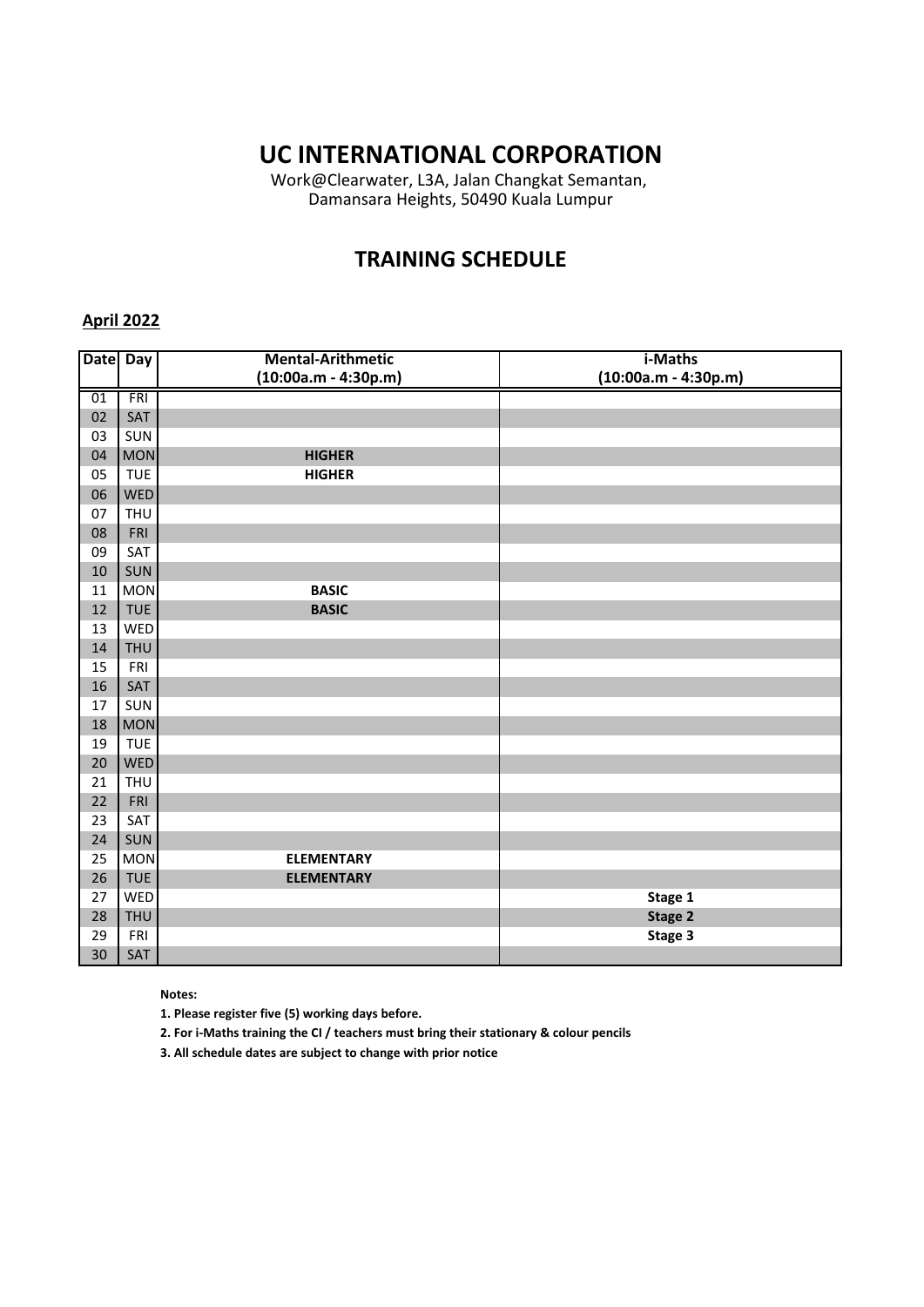Work@Clearwater, L3A, Jalan Changkat Semantan, Damansara Heights, 50490 Kuala Lumpur

## **TRAINING SCHEDULE**

#### **April 2022**

| <b>Date</b> | <b>Day</b> | <b>Mental-Arithmetic</b> | i-Maths                |
|-------------|------------|--------------------------|------------------------|
|             |            | $(10:00a.m - 4:30p.m)$   | $(10:00a.m - 4:30p.m)$ |
| 01          | <b>FRI</b> |                          |                        |
| 02          | SAT        |                          |                        |
| 03          | SUN        |                          |                        |
| 04          | <b>MON</b> | <b>HIGHER</b>            |                        |
| 05          | <b>TUE</b> | <b>HIGHER</b>            |                        |
| 06          | <b>WED</b> |                          |                        |
| 07          | <b>THU</b> |                          |                        |
| 08          | FRI        |                          |                        |
| 09          | SAT        |                          |                        |
| 10          | SUN        |                          |                        |
| 11          | <b>MON</b> | <b>BASIC</b>             |                        |
| 12          | <b>TUE</b> | <b>BASIC</b>             |                        |
| 13          | WED        |                          |                        |
| 14          | <b>THU</b> |                          |                        |
| 15          | FRI        |                          |                        |
| 16          | SAT        |                          |                        |
| 17          | SUN        |                          |                        |
| 18          | <b>MON</b> |                          |                        |
| 19          | <b>TUE</b> |                          |                        |
| 20          | WED        |                          |                        |
| 21          | <b>THU</b> |                          |                        |
| 22          | FRI        |                          |                        |
| 23          | SAT        |                          |                        |
| 24          | SUN        |                          |                        |
| 25          | <b>MON</b> | <b>ELEMENTARY</b>        |                        |
| 26          | <b>TUE</b> | <b>ELEMENTARY</b>        |                        |
| 27          | WED        |                          | Stage 1                |
| 28          | <b>THU</b> |                          | Stage 2                |
| 29          | FRI        |                          | Stage 3                |
| 30          | SAT        |                          |                        |

#### **Notes:**

**1. Please register five (5) working days before.** 

**2. For i-Maths training the CI / teachers must bring their stationary & colour pencils**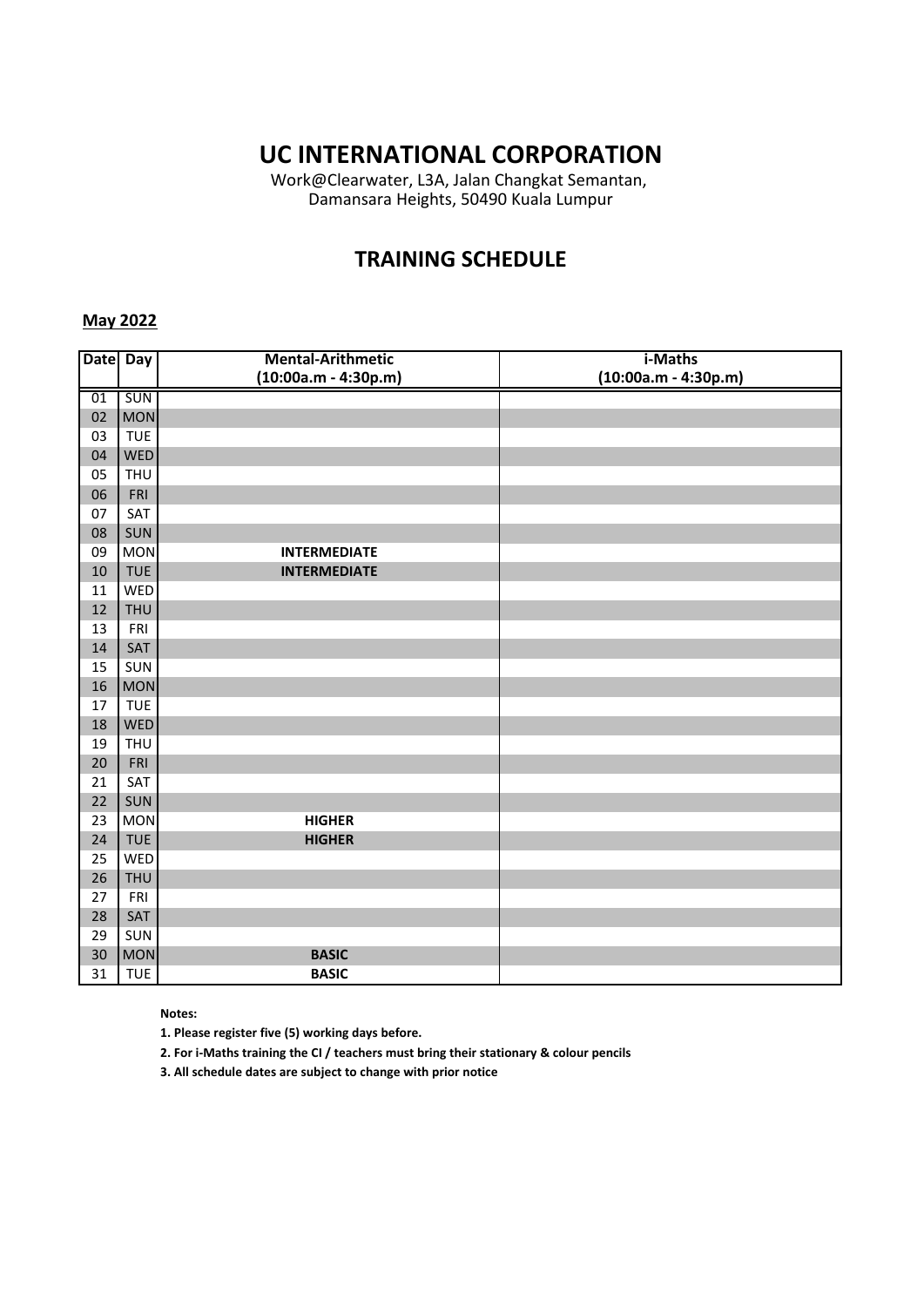Work@Clearwater, L3A, Jalan Changkat Semantan, Damansara Heights, 50490 Kuala Lumpur

### **TRAINING SCHEDULE**

### **May 2022**

| <b>Date</b> | Day        | <b>Mental-Arithmetic</b> | i-Maths                |
|-------------|------------|--------------------------|------------------------|
|             |            | $(10:00a.m - 4:30p.m)$   | $(10:00a.m - 4:30p.m)$ |
| 01          | SUN        |                          |                        |
| 02          | <b>MON</b> |                          |                        |
| 03          | <b>TUE</b> |                          |                        |
| 04          | WED        |                          |                        |
| 05          | <b>THU</b> |                          |                        |
| 06          | FRI        |                          |                        |
| 07          | SAT        |                          |                        |
| 08          | SUN        |                          |                        |
| 09          | <b>MON</b> | <b>INTERMEDIATE</b>      |                        |
| 10          | <b>TUE</b> | <b>INTERMEDIATE</b>      |                        |
| 11          | WED        |                          |                        |
| 12          | <b>THU</b> |                          |                        |
| 13          | FRI        |                          |                        |
| 14          | SAT        |                          |                        |
| 15          | SUN        |                          |                        |
| 16          | <b>MON</b> |                          |                        |
| 17          | <b>TUE</b> |                          |                        |
| 18          | WED        |                          |                        |
| 19          | <b>THU</b> |                          |                        |
| 20          | FRI        |                          |                        |
| 21          | SAT        |                          |                        |
| 22          | SUN        |                          |                        |
| 23          | <b>MON</b> | <b>HIGHER</b>            |                        |
| 24          | <b>TUE</b> | <b>HIGHER</b>            |                        |
| 25          | WED        |                          |                        |
| 26          | <b>THU</b> |                          |                        |
| 27          | FRI        |                          |                        |
| 28          | SAT        |                          |                        |
| 29          | SUN        |                          |                        |
| 30          | <b>MON</b> | <b>BASIC</b>             |                        |
| 31          | <b>TUE</b> | <b>BASIC</b>             |                        |

#### **Notes:**

**1. Please register five (5) working days before.** 

**2. For i-Maths training the CI / teachers must bring their stationary & colour pencils**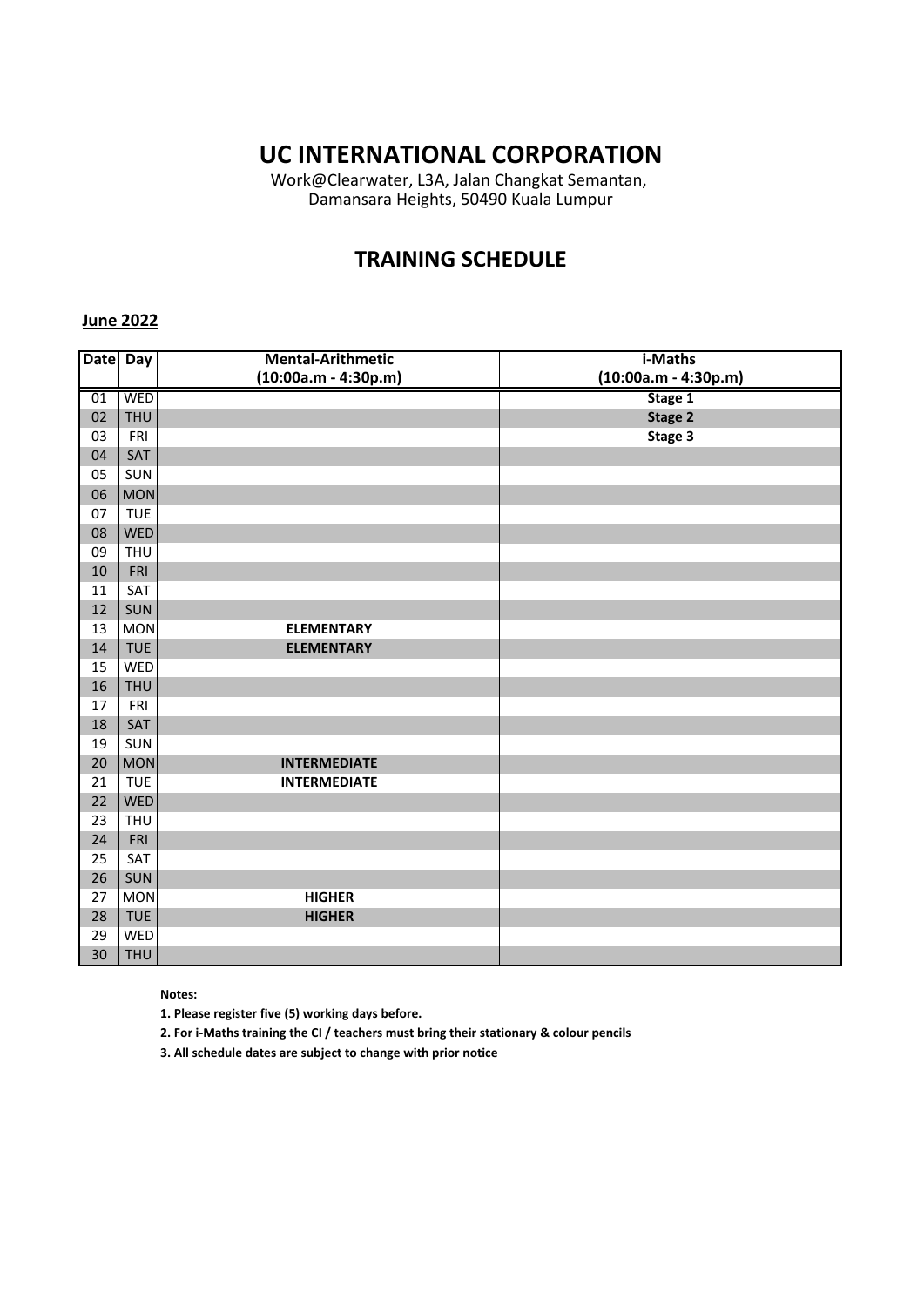Work@Clearwater, L3A, Jalan Changkat Semantan, Damansara Heights, 50490 Kuala Lumpur

## **TRAINING SCHEDULE**

#### **June 2022**

| <b>Date</b> | <b>Day</b> | <b>Mental-Arithmetic</b> | i-Maths                |
|-------------|------------|--------------------------|------------------------|
|             |            | $(10:00a.m - 4:30p.m)$   | $(10:00a.m - 4:30p.m)$ |
| 01          | <b>WED</b> |                          | Stage 1                |
| 02          | <b>THU</b> |                          | Stage 2                |
| 03          | FRI        |                          | Stage 3                |
| 04          | SAT        |                          |                        |
| 05          | SUN        |                          |                        |
| 06          | <b>MON</b> |                          |                        |
| 07          | <b>TUE</b> |                          |                        |
| 08          | <b>WED</b> |                          |                        |
| 09          | <b>THU</b> |                          |                        |
| 10          | FRI        |                          |                        |
| 11          | SAT        |                          |                        |
| 12          | SUN        |                          |                        |
| 13          | <b>MON</b> | <b>ELEMENTARY</b>        |                        |
| 14          | <b>TUE</b> | <b>ELEMENTARY</b>        |                        |
| 15          | WED        |                          |                        |
| 16          | <b>THU</b> |                          |                        |
| 17          | FRI        |                          |                        |
| 18          | SAT        |                          |                        |
| 19          | SUN        |                          |                        |
| 20          | <b>MON</b> | <b>INTERMEDIATE</b>      |                        |
| 21          | <b>TUE</b> | <b>INTERMEDIATE</b>      |                        |
| 22          | <b>WED</b> |                          |                        |
| 23          | <b>THU</b> |                          |                        |
| 24          | FRI        |                          |                        |
| 25          | SAT        |                          |                        |
| 26          | SUN        |                          |                        |
| 27          | <b>MON</b> | <b>HIGHER</b>            |                        |
| 28          | <b>TUE</b> | <b>HIGHER</b>            |                        |
| 29          | WED        |                          |                        |
| 30          | <b>THU</b> |                          |                        |

#### **Notes:**

**1. Please register five (5) working days before.** 

**2. For i-Maths training the CI / teachers must bring their stationary & colour pencils**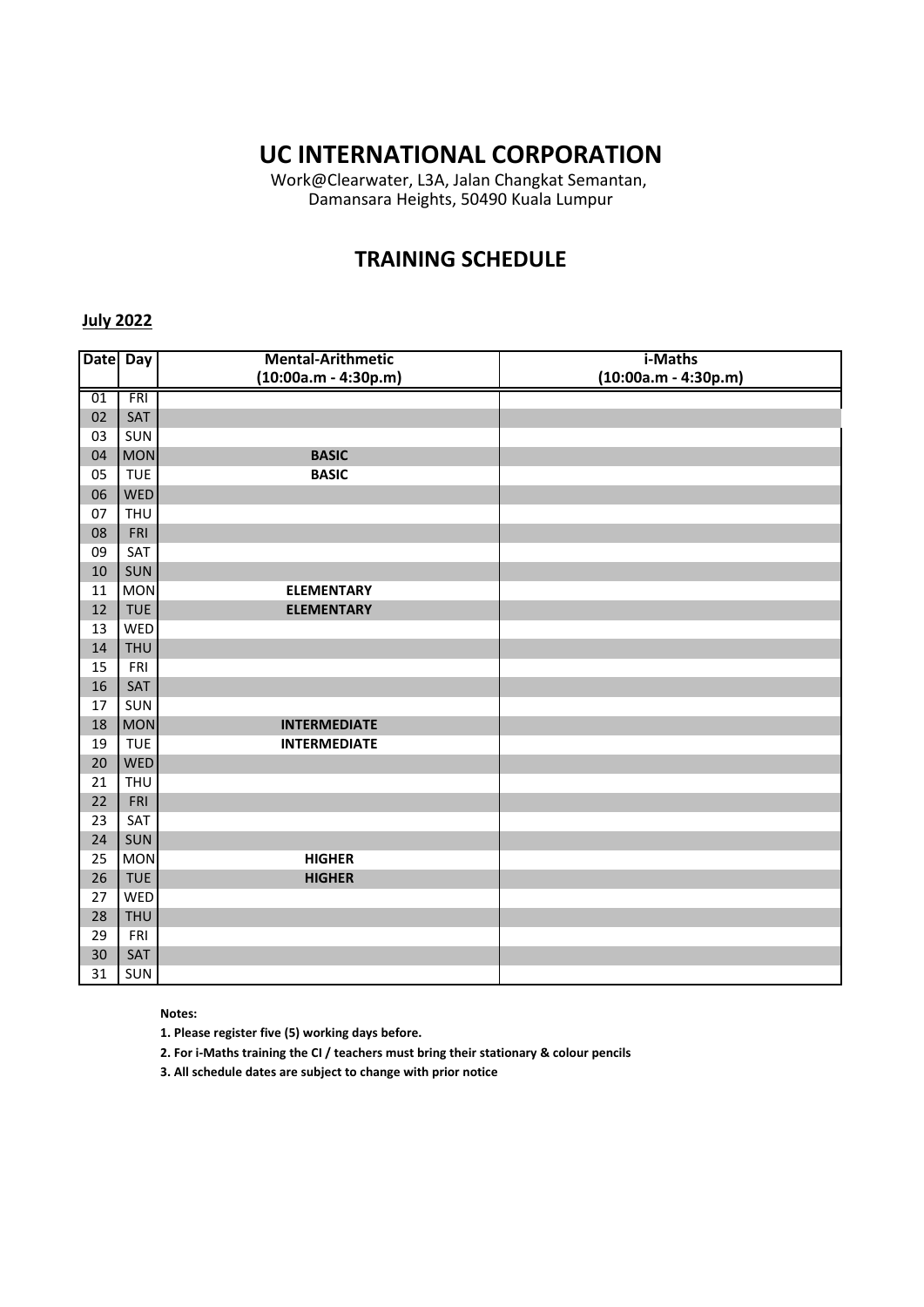Work@Clearwater, L3A, Jalan Changkat Semantan, Damansara Heights, 50490 Kuala Lumpur

### **TRAINING SCHEDULE**

### **July 2022**

| Date Day |            | <b>Mental-Arithmetic</b> | i-Maths                |
|----------|------------|--------------------------|------------------------|
|          |            | $(10:00a.m - 4:30p.m)$   | $(10:00a.m - 4:30p.m)$ |
| 01       | FRI        |                          |                        |
| 02       | SAT        |                          |                        |
| 03       | SUN        |                          |                        |
| 04       | <b>MON</b> | <b>BASIC</b>             |                        |
| 05       | <b>TUE</b> | <b>BASIC</b>             |                        |
| 06       | WED        |                          |                        |
| 07       | <b>THU</b> |                          |                        |
| 08       | FRI        |                          |                        |
| 09       | SAT        |                          |                        |
| 10       | SUN        |                          |                        |
| 11       | <b>MON</b> | <b>ELEMENTARY</b>        |                        |
| 12       | <b>TUE</b> | <b>ELEMENTARY</b>        |                        |
| 13       | WED        |                          |                        |
| 14       | <b>THU</b> |                          |                        |
| 15       | FRI        |                          |                        |
| 16       | SAT        |                          |                        |
| 17       | SUN        |                          |                        |
| 18       | <b>MON</b> | <b>INTERMEDIATE</b>      |                        |
| 19       | <b>TUE</b> | <b>INTERMEDIATE</b>      |                        |
| 20       | WED        |                          |                        |
| 21       | <b>THU</b> |                          |                        |
| 22       | FRI        |                          |                        |
| 23       | SAT        |                          |                        |
| 24       | SUN        |                          |                        |
| 25       | <b>MON</b> | <b>HIGHER</b>            |                        |
| 26       | <b>TUE</b> | <b>HIGHER</b>            |                        |
| 27       | WED        |                          |                        |
| 28       | <b>THU</b> |                          |                        |
| 29       | FRI        |                          |                        |
| 30       | SAT        |                          |                        |
| 31       | SUN        |                          |                        |

**Notes:** 

**1. Please register five (5) working days before.** 

**2. For i-Maths training the CI / teachers must bring their stationary & colour pencils**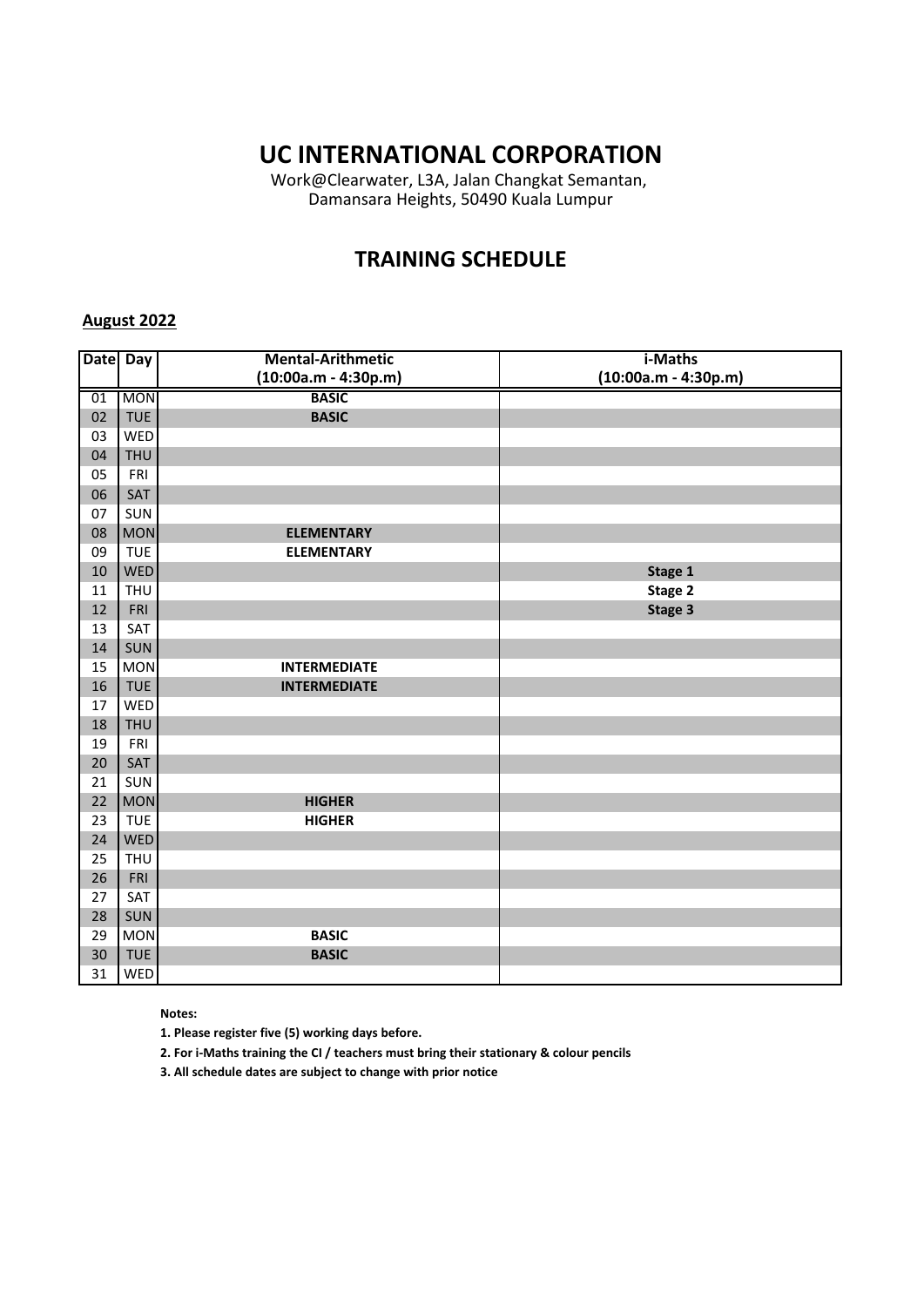Work@Clearwater, L3A, Jalan Changkat Semantan, Damansara Heights, 50490 Kuala Lumpur

## **TRAINING SCHEDULE**

### **August 2022**

| <b>Date</b> | $\overline{Day}$ | <b>Mental-Arithmetic</b> | i-Maths                |
|-------------|------------------|--------------------------|------------------------|
|             |                  | $(10:00a.m - 4:30p.m)$   | $(10:00a.m - 4:30p.m)$ |
| 01          | <b>MON</b>       | <b>BASIC</b>             |                        |
| 02          | <b>TUE</b>       | <b>BASIC</b>             |                        |
| 03          | WED              |                          |                        |
| 04          | <b>THU</b>       |                          |                        |
| 05          | FRI              |                          |                        |
| 06          | SAT              |                          |                        |
| 07          | SUN              |                          |                        |
| 08          | <b>MON</b>       | <b>ELEMENTARY</b>        |                        |
| 09          | <b>TUE</b>       | <b>ELEMENTARY</b>        |                        |
| 10          | WED              |                          | Stage 1                |
| 11          | <b>THU</b>       |                          | Stage 2                |
| 12          | FRI              |                          | Stage 3                |
| 13          | SAT              |                          |                        |
| 14          | SUN              |                          |                        |
| 15          | <b>MON</b>       | <b>INTERMEDIATE</b>      |                        |
| 16          | <b>TUE</b>       | <b>INTERMEDIATE</b>      |                        |
| 17          | WED              |                          |                        |
| 18          | <b>THU</b>       |                          |                        |
| 19          | FRI              |                          |                        |
| 20          | SAT              |                          |                        |
| 21          | SUN              |                          |                        |
| 22          | <b>MON</b>       | <b>HIGHER</b>            |                        |
| 23          | <b>TUE</b>       | <b>HIGHER</b>            |                        |
| 24          | <b>WED</b>       |                          |                        |
| 25          | <b>THU</b>       |                          |                        |
| 26          | FRI              |                          |                        |
| 27          | SAT              |                          |                        |
| 28          | SUN              |                          |                        |
| 29          | <b>MON</b>       | <b>BASIC</b>             |                        |
| 30          | <b>TUE</b>       | <b>BASIC</b>             |                        |
| 31          | WED              |                          |                        |

**Notes:** 

**1. Please register five (5) working days before.** 

**2. For i-Maths training the CI / teachers must bring their stationary & colour pencils**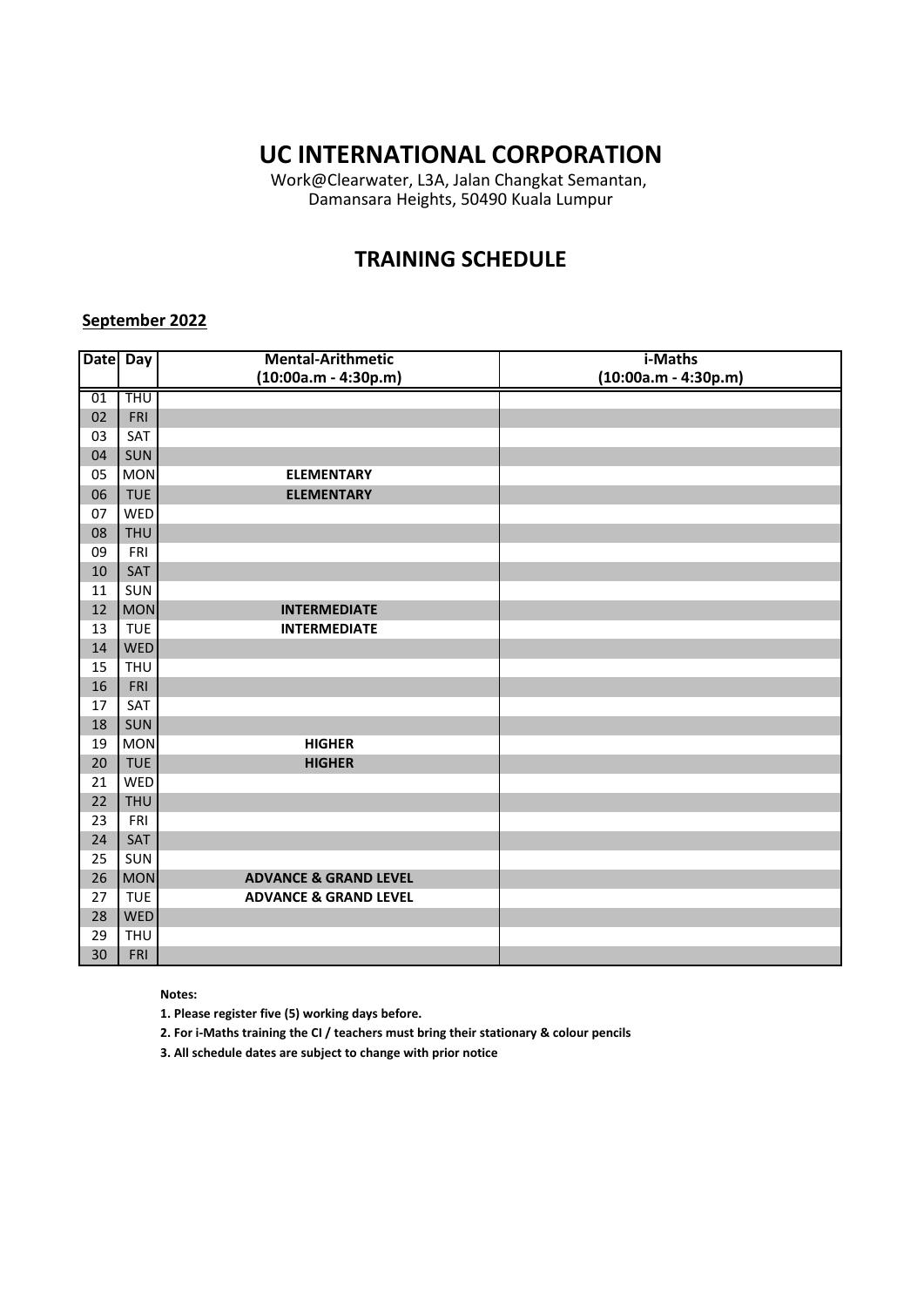Work@Clearwater, L3A, Jalan Changkat Semantan, Damansara Heights, 50490 Kuala Lumpur

## **TRAINING SCHEDULE**

### **September 2022**

| Date Day |            | <b>Mental-Arithmetic</b>         | i-Maths                |
|----------|------------|----------------------------------|------------------------|
|          |            | $(10:00a.m - 4:30p.m)$           | $(10:00a.m - 4:30p.m)$ |
| 01       | <b>THU</b> |                                  |                        |
| 02       | FRI        |                                  |                        |
| 03       | SAT        |                                  |                        |
| 04       | SUN        |                                  |                        |
| 05       | <b>MON</b> | <b>ELEMENTARY</b>                |                        |
| 06       | <b>TUE</b> | <b>ELEMENTARY</b>                |                        |
| 07       | WED        |                                  |                        |
| 08       | <b>THU</b> |                                  |                        |
| 09       | FRI        |                                  |                        |
| 10       | SAT        |                                  |                        |
| 11       | SUN        |                                  |                        |
| 12       | <b>MON</b> | <b>INTERMEDIATE</b>              |                        |
| 13       | <b>TUE</b> | <b>INTERMEDIATE</b>              |                        |
| 14       | <b>WED</b> |                                  |                        |
| 15       | <b>THU</b> |                                  |                        |
| 16       | FRI        |                                  |                        |
| 17       | SAT        |                                  |                        |
| 18       | SUN        |                                  |                        |
| 19       | <b>MON</b> | <b>HIGHER</b>                    |                        |
| 20       | <b>TUE</b> | <b>HIGHER</b>                    |                        |
| 21       | WED        |                                  |                        |
| 22       | <b>THU</b> |                                  |                        |
| 23       | FRI        |                                  |                        |
| 24       | SAT        |                                  |                        |
| 25       | SUN        |                                  |                        |
| 26       | <b>MON</b> | <b>ADVANCE &amp; GRAND LEVEL</b> |                        |
| 27       | <b>TUE</b> | <b>ADVANCE &amp; GRAND LEVEL</b> |                        |
| 28       | <b>WED</b> |                                  |                        |
| 29       | <b>THU</b> |                                  |                        |
| 30       | <b>FRI</b> |                                  |                        |

**Notes:** 

**1. Please register five (5) working days before.** 

**2. For i-Maths training the CI / teachers must bring their stationary & colour pencils**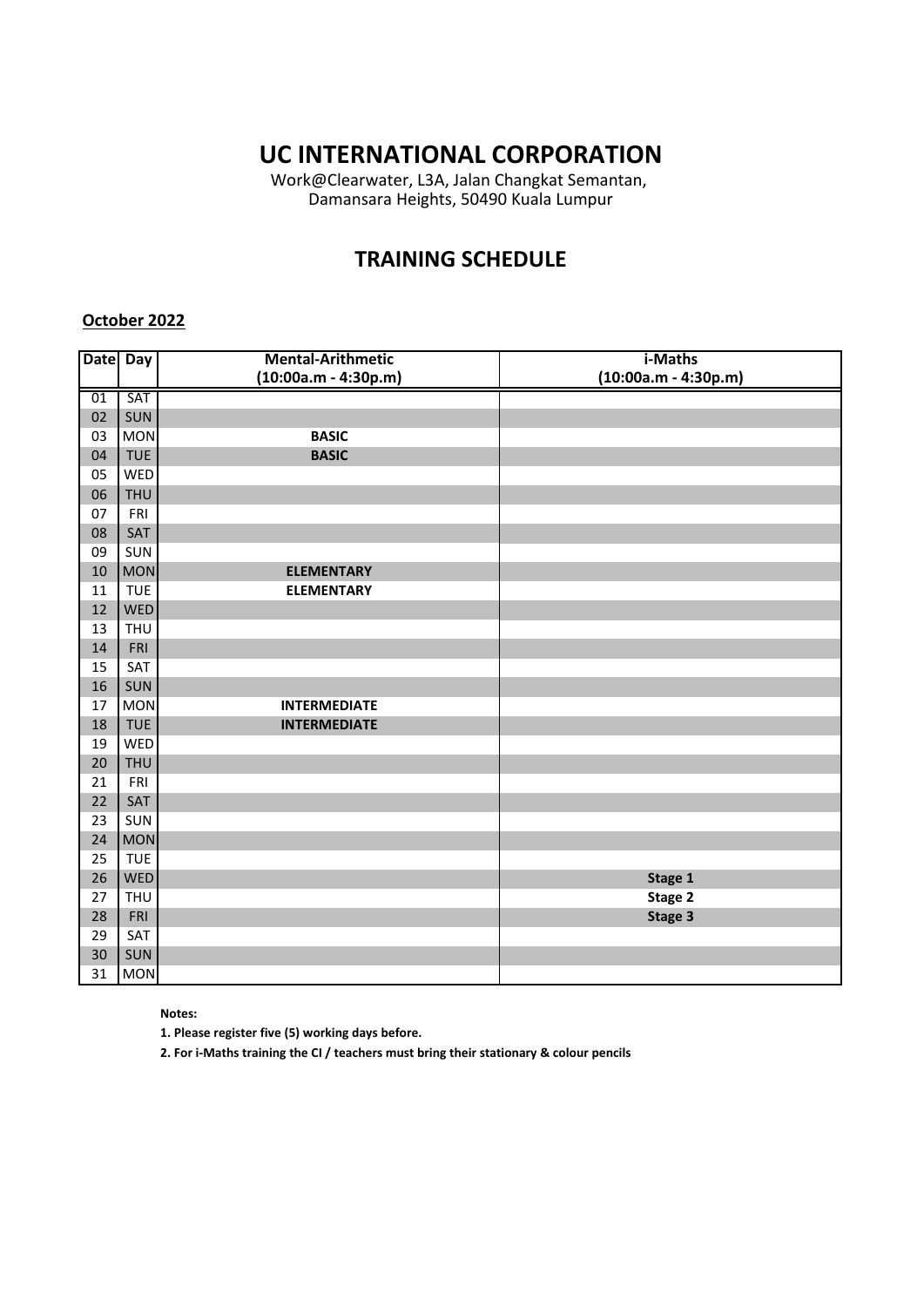Work@Clearwater, L3A, Jalan Changkat Semantan, Damansara Heights, 50490 Kuala Lumpur

## **TRAINING SCHEDULE**

#### **October 2022**

| Date Day |            | <b>Mental-Arithmetic</b><br>$(10:00a.m - 4:30p.m)$ | i-Maths<br>$(10:00a.m - 4:30p.m)$ |
|----------|------------|----------------------------------------------------|-----------------------------------|
|          |            |                                                    |                                   |
| 01       | SAT        |                                                    |                                   |
| 02       | SUN        |                                                    |                                   |
| 03       | <b>MON</b> | <b>BASIC</b>                                       |                                   |
| 04       | <b>TUE</b> | <b>BASIC</b>                                       |                                   |
| 05       | WED        |                                                    |                                   |
| 06       | <b>THU</b> |                                                    |                                   |
| 07       | FRI        |                                                    |                                   |
| 08       | SAT        |                                                    |                                   |
| 09       | SUN        |                                                    |                                   |
| 10       | <b>MON</b> | <b>ELEMENTARY</b>                                  |                                   |
| 11       | <b>TUE</b> | <b>ELEMENTARY</b>                                  |                                   |
| 12       | <b>WED</b> |                                                    |                                   |
| 13       | <b>THU</b> |                                                    |                                   |
| 14       | FRI        |                                                    |                                   |
| 15       | SAT        |                                                    |                                   |
| 16       | SUN        |                                                    |                                   |
| 17       | <b>MON</b> | <b>INTERMEDIATE</b>                                |                                   |
| 18       | <b>TUE</b> | <b>INTERMEDIATE</b>                                |                                   |
| 19       | WED        |                                                    |                                   |
| 20       | <b>THU</b> |                                                    |                                   |
| 21       | FRI        |                                                    |                                   |
| 22       | SAT        |                                                    |                                   |
| 23       | SUN        |                                                    |                                   |
| 24       | <b>MON</b> |                                                    |                                   |
| 25       | <b>TUE</b> |                                                    |                                   |
| 26       | <b>WED</b> |                                                    | Stage 1                           |
| 27       | <b>THU</b> |                                                    | Stage 2                           |
| 28       | FRI        |                                                    | Stage 3                           |
| 29       | SAT        |                                                    |                                   |
| 30       | SUN        |                                                    |                                   |
| 31       | <b>MON</b> |                                                    |                                   |

**Notes:** 

**1. Please register five (5) working days before.** 

**2. For i-Maths training the CI / teachers must bring their stationary & colour pencils**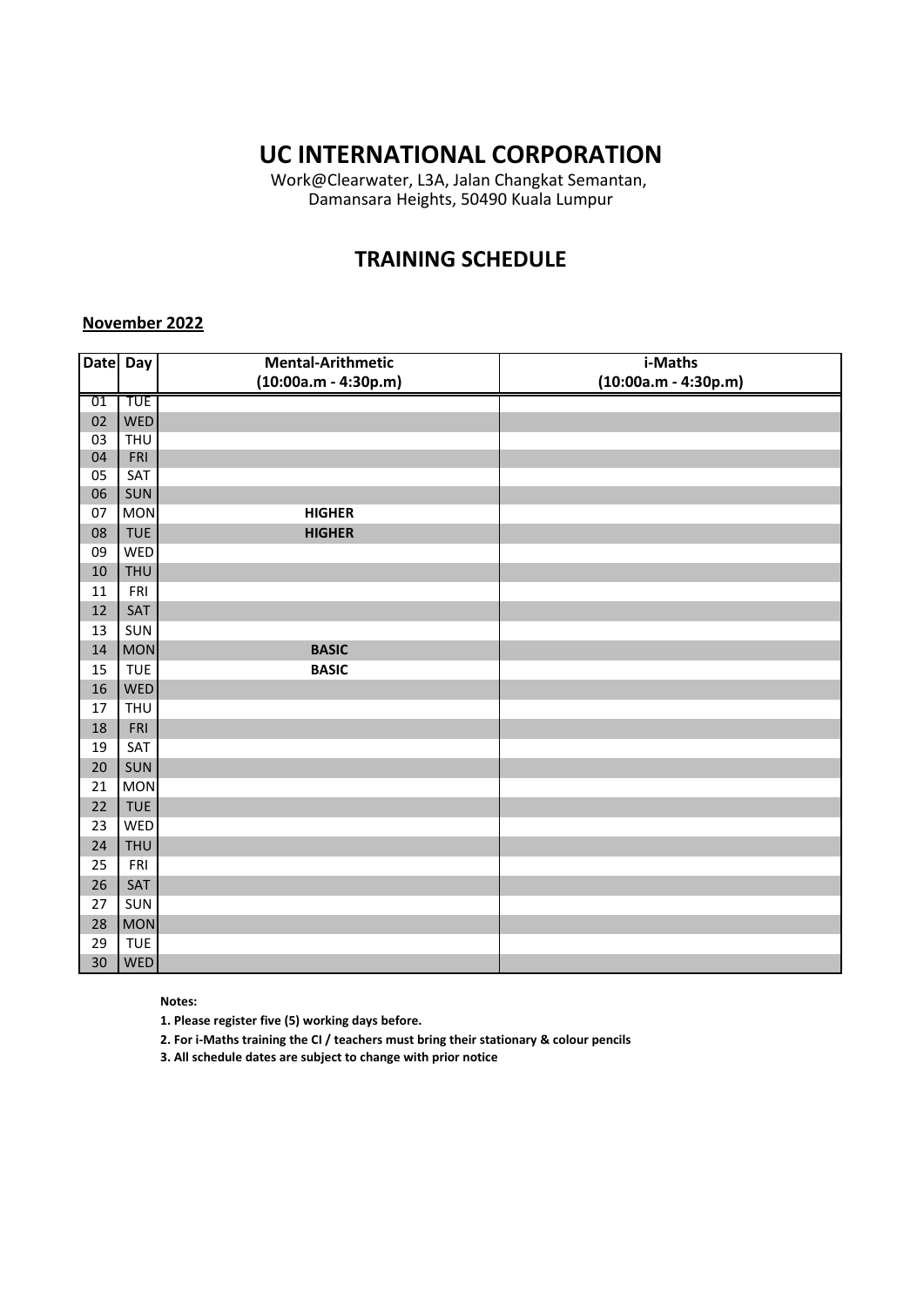Work@Clearwater, L3A, Jalan Changkat Semantan, Damansara Heights, 50490 Kuala Lumpur

## **TRAINING SCHEDULE**

#### **November 2022**

| Date Day |            | <b>Mental-Arithmetic</b> | i-Maths                |
|----------|------------|--------------------------|------------------------|
|          |            | $(10:00a.m - 4:30p.m)$   | $(10:00a.m - 4:30p.m)$ |
| 01       | <b>TUE</b> |                          |                        |
| 02       | <b>WED</b> |                          |                        |
| 03       | <b>THU</b> |                          |                        |
| 04       | FRI        |                          |                        |
| 05       | SAT        |                          |                        |
| 06       | SUN        |                          |                        |
| 07       | <b>MON</b> | <b>HIGHER</b>            |                        |
| 08       | <b>TUE</b> | <b>HIGHER</b>            |                        |
| 09       | WED        |                          |                        |
| 10       | <b>THU</b> |                          |                        |
| 11       | FRI        |                          |                        |
| 12       | SAT        |                          |                        |
| 13       | SUN        |                          |                        |
| 14       | <b>MON</b> | <b>BASIC</b>             |                        |
| 15       | <b>TUE</b> | <b>BASIC</b>             |                        |
| 16       | WED        |                          |                        |
| 17       | <b>THU</b> |                          |                        |
| 18       | FRI        |                          |                        |
| 19       | SAT        |                          |                        |
| 20       | SUN        |                          |                        |
| 21       | <b>MON</b> |                          |                        |
| 22       | <b>TUE</b> |                          |                        |
| 23       | WED        |                          |                        |
| 24       | <b>THU</b> |                          |                        |
| 25       | FRI        |                          |                        |
| 26       | SAT        |                          |                        |
| 27       | SUN        |                          |                        |
| 28       | <b>MON</b> |                          |                        |
| 29       | <b>TUE</b> |                          |                        |
| 30       | <b>WED</b> |                          |                        |

#### **Notes:**

**1. Please register five (5) working days before.** 

**2. For i-Maths training the CI / teachers must bring their stationary & colour pencils**